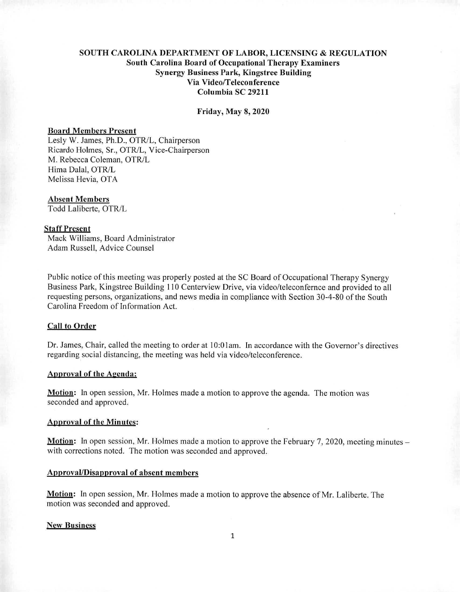# **SOUTH CAROLINA DEPARTMENT OF LABOR, LICENSING & REGULATION South Carolina Board of Occupational Therapy Examiners Synergy Business Park, Kingstree Building Via Video/Teleconference Columbia SC 29211**

#### **Friday, May 8, 2020**

#### Board Members Present

Lesly W. James, Ph.D., OTR/L, Chairperson Ricardo Holmes, Sr., OTR/L, Vice-Chairperson M. Rebecca Coleman, OTR/L Hima Dalai, OTR/L Melissa Hevia, OTA

#### Absent Members

Todd Laliberte, OTR/L

## Staff Present

Mack Williams, Board Administrator Adam Russell, Advice Counsel

Public notice of this meeting was properly posted at the SC Board of Occupational Therapy Synergy Business Park, Kingstree Building 110 Centerview Drive, via video/teleconfemce and provided to all requesting persons, organizations, and news media in compliance with Section 30-4-80 of the South Carolina Freedom of Information Act.

#### **Call to Order**

Dr. James, Chair, called the meeting to order at 10:01am. In accordance with the Governor's directives regarding social distancing, the meeting was held via video/teleconference.

#### Approval of the **Aeenda:**

**Motion:** In open session, Mr. Holmes made a motion to approve the agenda. The motion was seconded and approved.

### Approval of the Minutes:

Motion: In open session, Mr. Holmes made a motion to approve the February 7, 2020, meeting minutes – with corrections noted. The motion was seconded and approved.

### **Approval/Disapproval of absent members**

**Motion:** In open session, Mr. Holmes made a motion to approve the absence of Mr. Laliberte. The motion was seconded and approved.

### **New Business**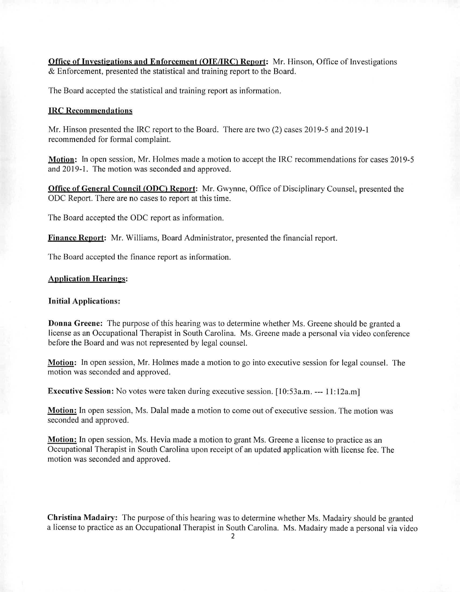Office of Investigations and Enforcement (OIE/IRC) Report: Mr. Hinson, Office of Investigations & Enforcement, presented the statistical and training report to the Board.

The Board accepted the statistical and training report as information.

#### IRC Recommendations

Mr. Hinson presented the IRC report to the Board. There are two (2) cases 2019-5 and 2019-1 recommended for formal complaint.

Motion: In open session, Mr. Holmes made a motion to accept the IRC recommendations for cases 2019-5 and 2019-1. The motion was seconded and approved.

**Office of General Council (ODC) Report:** Mr. Gwynne, Office of Disciplinary Counsel, presented the ODC Report. There are no cases to report at this time.

The Board accepted the ODC report as information.

**Finance Report:** Mr. Williams, Board Administrator, presented the financial report.

The Board accepted the finance report as information.

#### **Application Hearings:**

## **Initial Applications:**

**Donna Greene:** The purpose of this hearing was to determine whether Ms. Greene should be granted a license as an Occupational Therapist in South Carolina. Ms. Greene made a personal via video conference before the Board and was not represented by legal counsel.

**Motion:** In open session, Mr. Holmes made a motion to go into executive session for legal counsel. The motion was seconded and approved.

**Executive Session:** No votes were taken during executive session. [10:53a.m. --- 11:12a.m]

**Motion:** In open session, Ms. Dalai made a motion to come out of executive session. The motion was seconded and approved.

**Motion:** In open session, Ms. Hevia made a motion to grant Ms. Greene a license to practice as an Occupational Therapist in South Carolina upon receipt of an updated application with license fee. The motion was seconded and approved.

**Christina Madairy:** The purpose of this hearing was to determine whether Ms. Madairy should be granted a license to practice as an Occupational Therapist in South Carolina. Ms. Madairy made a personal via video